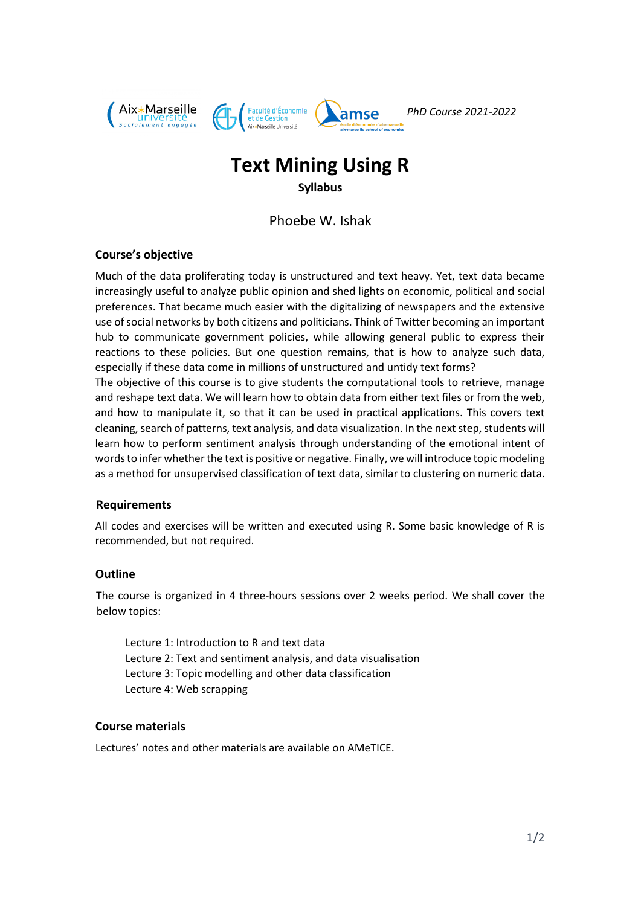

*PhD Course 2021-2022*

# **Text Mining Using R**

### **Syllabus**

Phoebe W. Ishak

### **Course's objective**

Much of the data proliferating today is unstructured and text heavy. Yet, text data became increasingly useful to analyze public opinion and shed lights on economic, political and social preferences. That became much easier with the digitalizing of newspapers and the extensive use of social networks by both citizens and politicians. Think of Twitter becoming an important hub to communicate government policies, while allowing general public to express their reactions to these policies. But one question remains, that is how to analyze such data, especially if these data come in millions of unstructured and untidy text forms?

The objective of this course is to give students the computational tools to retrieve, manage and reshape text data. We will learn how to obtain data from either text files or from the web, and how to manipulate it, so that it can be used in practical applications. This covers text cleaning, search of patterns, text analysis, and data visualization. In the next step, students will learn how to perform sentiment analysis through understanding of the emotional intent of words to infer whether the text is positive or negative. Finally, we will introduce topic modeling as a method for unsupervised classification of text data, similar to clustering on numeric data.

### **Requirements**

All codes and exercises will be written and executed using R. Some basic knowledge of R is recommended, but not required.

### **Outline**

The course is organized in 4 three-hours sessions over 2 weeks period. We shall cover the below topics:

Lecture 1: Introduction to R and text data Lecture 2: Text and sentiment analysis, and data visualisation Lecture 3: Topic modelling and other data classification Lecture 4: Web scrapping

### **Course materials**

Lectures' notes and other materials are available on AMeTICE.